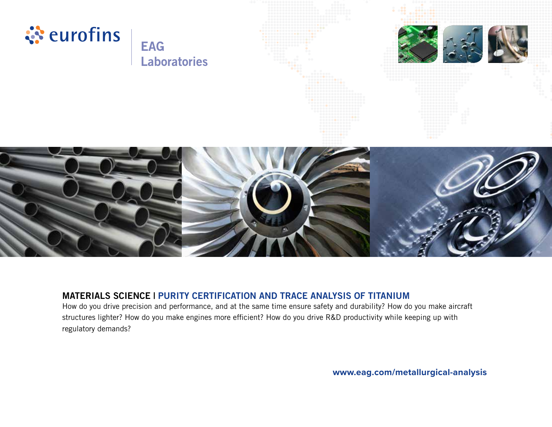

# **MATERIALS SCIENCE | PURITY CERTIFICATION AND TRACE ANALYSIS OF TITANIUM**

How do you drive precision and performance, and at the same time ensure safety and durability? How do you make aircraft structures lighter? How do you make engines more efficient? How do you drive R&D productivity while keeping up with regulatory demands?

**www.eag.com/metallurgical-analysis**